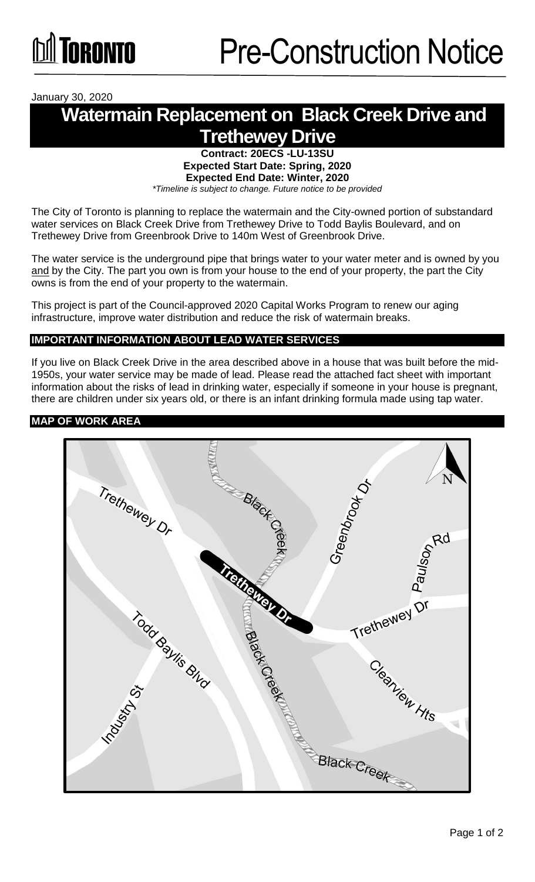January 30, 2020

# **Watermain Replacement on Black Creek Drive and Trethewey Drive**

#### **Contract: 20ECS -LU-13SU Expected Start Date: Spring, 2020 Expected End Date: Winter, 2020**  *\*Timeline is subject to change. Future notice to be provided*

The City of Toronto is planning to replace the watermain and the City-owned portion of substandard water services on Black Creek Drive from Trethewey Drive to Todd Baylis Boulevard, and on Trethewey Drive from Greenbrook Drive to 140m West of Greenbrook Drive.

The water service is the underground pipe that brings water to your water meter and is owned by you and by the City. The part you own is from your house to the end of your property, the part the City owns is from the end of your property to the watermain.

This project is part of the Council-approved 2020 Capital Works Program to renew our aging infrastructure, improve water distribution and reduce the risk of watermain breaks.

## **IMPORTANT INFORMATION ABOUT LEAD WATER SERVICES**

If you live on Black Creek Drive in the area described above in a house that was built before the mid-1950s, your water service may be made of lead. Please read the attached fact sheet with important information about the risks of lead in drinking water, especially if someone in your house is pregnant, there are children under six years old, or there is an infant drinking formula made using tap water.

### **MAP OF WORK AREA**